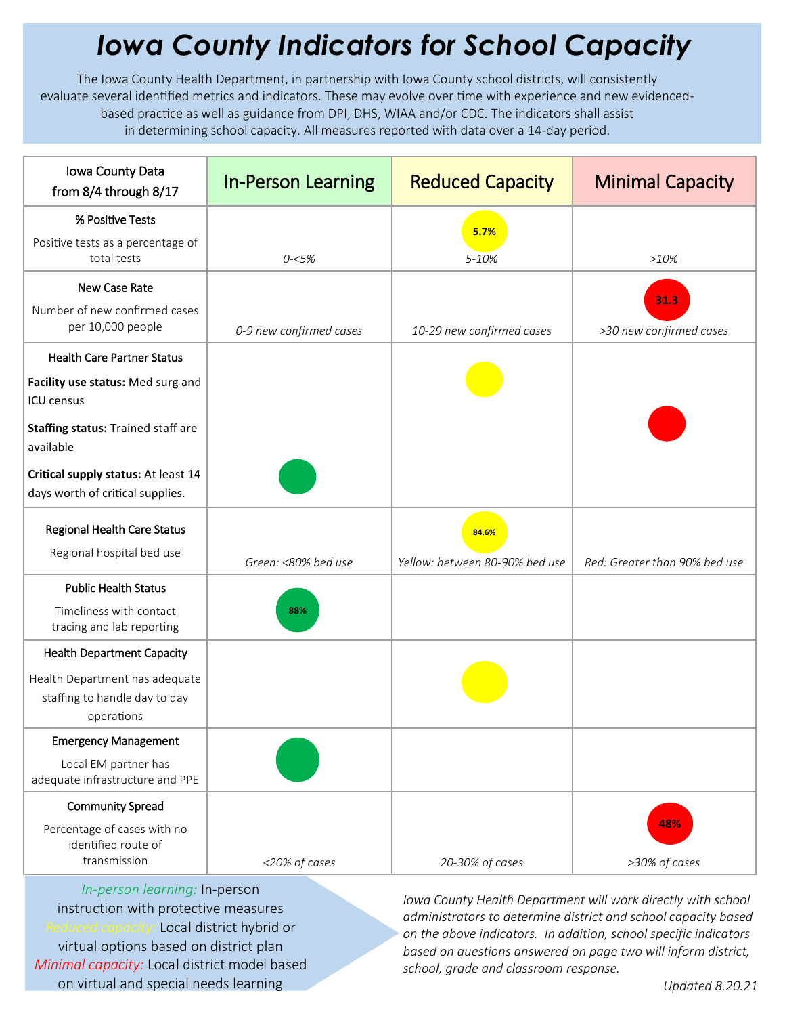## *Iowa County Indicators for School Capacity*

The Iowa County Health Department, in partnership with Iowa County school districts, will consistently evaluate several identified metrics and indicators. These may evolve over time with experience and new evidencedbased practice as well as guidance from DPI, DHS, WIAA and/or CDC. The indicators shall assist in determining school capacity. All measures reported with data over a 14-day period.

| Iowa County Data<br>from 8/4 through 8/17                                           | <b>In-Person Learning</b> | <b>Reduced Capacity</b>        | <b>Minimal Capacity</b>       |
|-------------------------------------------------------------------------------------|---------------------------|--------------------------------|-------------------------------|
| % Positive Tests                                                                    |                           | 5.7%                           |                               |
| Positive tests as a percentage of<br>total tests                                    | $0 - 5%$                  | 5-10%                          | >10%                          |
| New Case Rate                                                                       |                           |                                | 31.3                          |
| Number of new confirmed cases<br>per 10,000 people                                  | 0-9 new confirmed cases   | 10-29 new confirmed cases      | >30 new confirmed cases       |
| <b>Health Care Partner Status</b>                                                   |                           |                                |                               |
| Facility use status: Med surg and<br><b>ICU</b> census                              |                           |                                |                               |
| Staffing status: Trained staff are<br>available                                     |                           |                                |                               |
| Critical supply status: At least 14<br>days worth of critical supplies.             |                           |                                |                               |
| Regional Health Care Status<br>Regional hospital bed use                            |                           | 84.6%                          |                               |
|                                                                                     | Green: <80% bed use       | Yellow: between 80-90% bed use | Red: Greater than 90% bed use |
| <b>Public Health Status</b><br>Timeliness with contact<br>tracing and lab reporting | 88%                       |                                |                               |
| <b>Health Department Capacity</b>                                                   |                           |                                |                               |
| Health Department has adequate<br>staffing to handle day to day<br>operations       |                           |                                |                               |
| <b>Emergency Management</b>                                                         |                           |                                |                               |
| Local EM partner has<br>adequate infrastructure and PPE                             |                           |                                |                               |
| <b>Community Spread</b>                                                             |                           |                                |                               |
| Percentage of cases with no<br>identified route of<br>transmission                  | <20% of cases             | 20-30% of cases                | 48%<br>>30% of cases          |

*In-person learning:* In-person instruction with protective measures *Reduced capacity:* Local district hybrid or virtual options based on district plan *Minimal capacity:* Local district model based on virtual and special needs learning

*Iowa County Health Department will work directly with school administrators to determine district and school capacity based on the above indicators. In addition, school specific indicators based on questions answered on page two will inform district, school, grade and classroom response.*